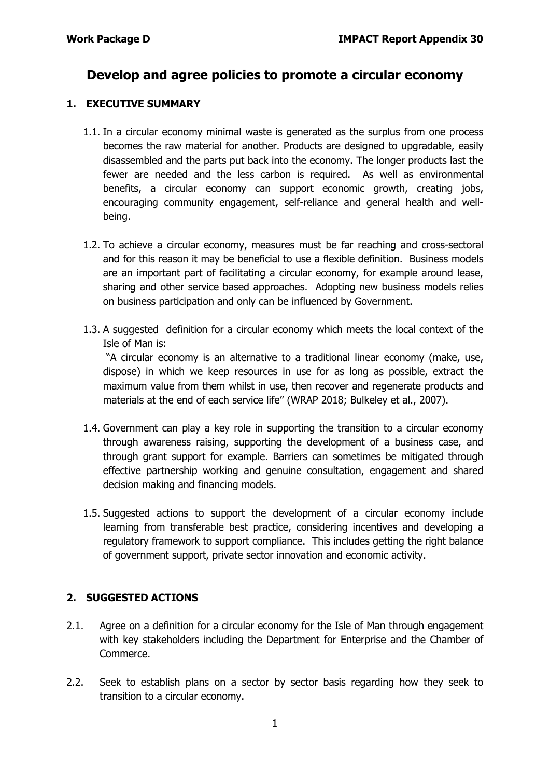# **Develop and agree policies to promote a circular economy**

## **1. EXECUTIVE SUMMARY**

- 1.1. In a circular economy minimal waste is generated as the surplus from one process becomes the raw material for another. Products are designed to upgradable, easily disassembled and the parts put back into the economy. The longer products last the fewer are needed and the less carbon is required. As well as environmental benefits, a circular economy can support economic growth, creating jobs, encouraging community engagement, self-reliance and general health and wellbeing.
- 1.2. To achieve a circular economy, measures must be far reaching and cross-sectoral and for this reason it may be beneficial to use a flexible definition. Business models are an important part of facilitating a circular economy, for example around lease, sharing and other service based approaches. Adopting new business models relies on business participation and only can be influenced by Government.
- 1.3. A suggested definition for a circular economy which meets the local context of the Isle of Man is:

"A circular economy is an alternative to a traditional linear economy (make, use, dispose) in which we keep resources in use for as long as possible, extract the maximum value from them whilst in use, then recover and regenerate products and materials at the end of each service life" (WRAP 2018; Bulkeley et al., 2007).

- 1.4. Government can play a key role in supporting the transition to a circular economy through awareness raising, supporting the development of a business case, and through grant support for example. Barriers can sometimes be mitigated through effective partnership working and genuine consultation, engagement and shared decision making and financing models.
- 1.5. Suggested actions to support the development of a circular economy include learning from transferable best practice, considering incentives and developing a regulatory framework to support compliance. This includes getting the right balance of government support, private sector innovation and economic activity.

# **2. SUGGESTED ACTIONS**

- 2.1. Agree on a definition for a circular economy for the Isle of Man through engagement with key stakeholders including the Department for Enterprise and the Chamber of Commerce.
- 2.2. Seek to establish plans on a sector by sector basis regarding how they seek to transition to a circular economy.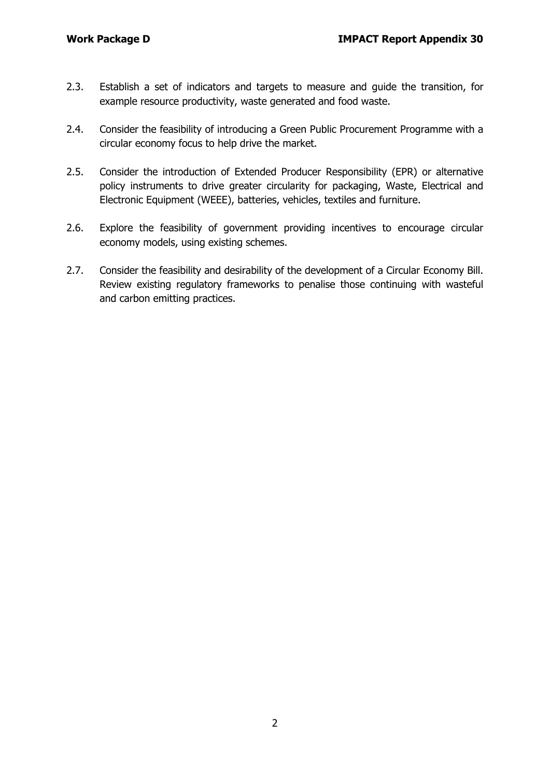- 2.3. Establish a set of indicators and targets to measure and guide the transition, for example resource productivity, waste generated and food waste.
- 2.4. Consider the feasibility of introducing a Green Public Procurement Programme with a circular economy focus to help drive the market.
- 2.5. Consider the introduction of Extended Producer Responsibility (EPR) or alternative policy instruments to drive greater circularity for packaging, Waste, Electrical and Electronic Equipment (WEEE), batteries, vehicles, textiles and furniture.
- 2.6. Explore the feasibility of government providing incentives to encourage circular economy models, using existing schemes.
- 2.7. Consider the feasibility and desirability of the development of a Circular Economy Bill. Review existing regulatory frameworks to penalise those continuing with wasteful and carbon emitting practices.